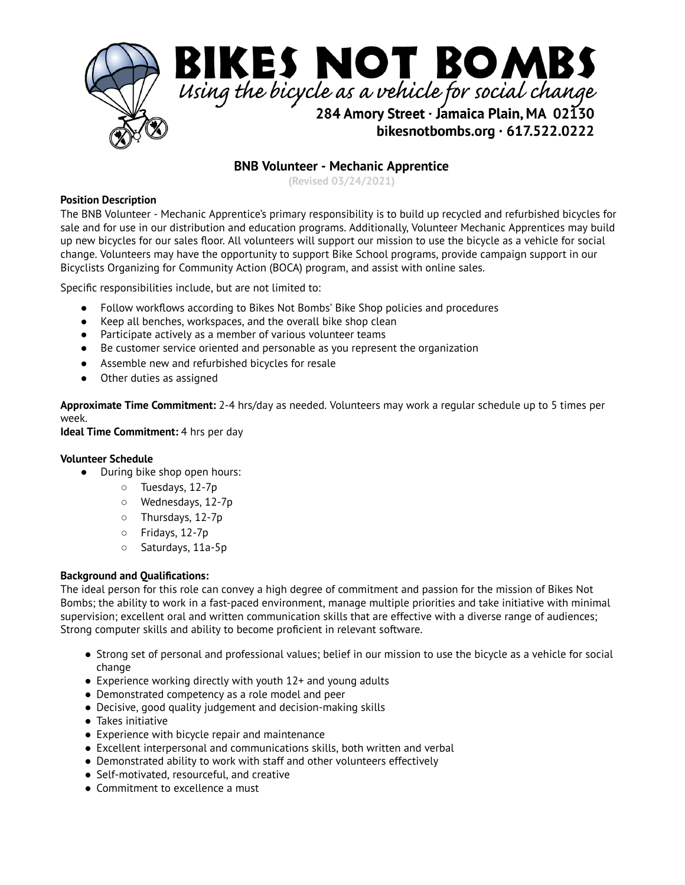

# **BNB Volunteer - Mechanic Apprentice**

**(Revised 03/24/2021)**

#### **Position Description**

The BNB Volunteer - Mechanic Apprentice's primary responsibility is to build up recycled and refurbished bicycles for sale and for use in our distribution and education programs. Additionally, Volunteer Mechanic Apprentices may build up new bicycles for our sales floor. All volunteers will support our mission to use the bicycle as a vehicle for social change. Volunteers may have the opportunity to support Bike School programs, provide campaign support in our Bicyclists Organizing for Community Action (BOCA) program, and assist with online sales.

Specific responsibilities include, but are not limited to:

- Follow workflows according to Bikes Not Bombs' Bike Shop policies and procedures
- Keep all benches, workspaces, and the overall bike shop clean
- Participate actively as a member of various volunteer teams
- Be customer service oriented and personable as you represent the organization
- Assemble new and refurbished bicycles for resale
- Other duties as assigned

**Approximate Time Commitment:** 2-4 hrs/day as needed. Volunteers may work a regular schedule up to 5 times per week.

**Ideal Time Commitment:** 4 hrs per day

#### **Volunteer Schedule**

- During bike shop open hours:
	- Tuesdays, 12-7p
	- Wednesdays, 12-7p
	- Thursdays, 12-7p
	- Fridays, 12-7p
	- Saturdays, 11a-5p

#### **Background and Qualifications:**

The ideal person for this role can convey a high degree of commitment and passion for the mission of Bikes Not Bombs; the ability to work in a fast-paced environment, manage multiple priorities and take initiative with minimal supervision; excellent oral and written communication skills that are effective with a diverse range of audiences; Strong computer skills and ability to become proficient in relevant software.

- Strong set of personal and professional values; belief in our mission to use the bicycle as a vehicle for social change
- $\bullet$  Experience working directly with youth 12+ and young adults
- Demonstrated competency as a role model and peer
- Decisive, good quality judgement and decision-making skills
- Takes initiative
- Experience with bicycle repair and maintenance
- Excellent interpersonal and communications skills, both written and verbal
- Demonstrated ability to work with staff and other volunteers effectively
- Self-motivated, resourceful, and creative
- Commitment to excellence a must